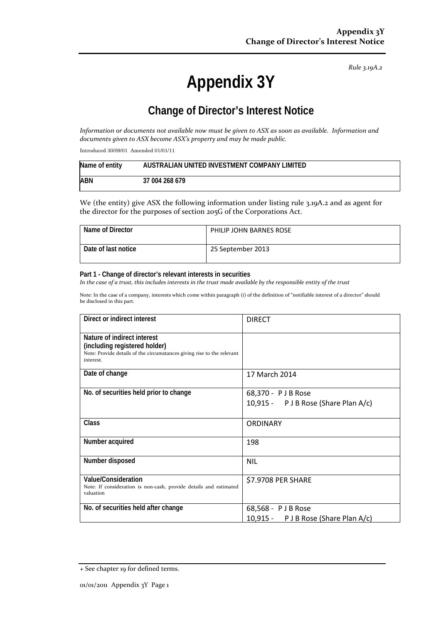*Rule 3.19A.2*

# **Appendix 3Y**

# **Change of Director's Interest Notice**

*Information or documents not available now must be given to ASX as soon as available. Information and documents given to ASX become ASX's property and may be made public.*

Introduced 30/09/01 Amended 01/01/11

| Name of entity | AUSTRALIAN UNITED INVESTMENT COMPANY LIMITED |
|----------------|----------------------------------------------|
| <b>ABN</b>     | 37 004 268 679                               |

We (the entity) give ASX the following information under listing rule 3.19A.2 and as agent for the director for the purposes of section 205G of the Corporations Act.

| Name of Director    | PHILIP JOHN BARNES ROSE |
|---------------------|-------------------------|
| Date of last notice | 25 September 2013       |

#### **Part 1 - Change of director's relevant interests in securities**

*In the case of a trust, this includes interests in the trust made available by the responsible entity of the trust*

Note: In the case of a company, interests which come within paragraph (i) of the definition of "notifiable interest of a director" should be disclosed in this part.

| Direct or indirect interest                                                                                                                         | <b>DIRECT</b>                                               |
|-----------------------------------------------------------------------------------------------------------------------------------------------------|-------------------------------------------------------------|
| Nature of indirect interest<br>(including registered holder)<br>Note: Provide details of the circumstances giving rise to the relevant<br>interest. |                                                             |
| Date of change                                                                                                                                      | 17 March 2014                                               |
| No. of securities held prior to change                                                                                                              | 68,370 - P J B Rose<br>10,915 - P J B Rose (Share Plan A/c) |
| Class                                                                                                                                               | <b>ORDINARY</b>                                             |
| Number acquired                                                                                                                                     | 198                                                         |
| Number disposed                                                                                                                                     | <b>NIL</b>                                                  |
| <b>Value/Consideration</b><br>Note: If consideration is non-cash, provide details and estimated<br>valuation                                        | \$7.9708 PER SHARE                                          |
| No. of securities held after change                                                                                                                 | 68,568 - P J B Rose<br>10,915 - P J B Rose (Share Plan A/c) |

<sup>+</sup> See chapter 19 for defined terms.